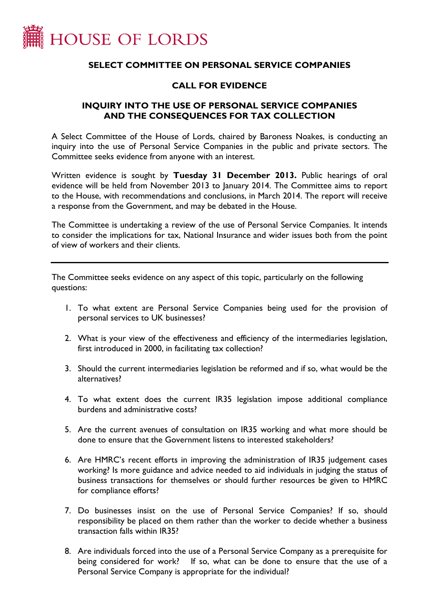

## **SELECT COMMITTEE ON PERSONAL SERVICE COMPANIES**

## **CALL FOR EVIDENCE**

## **INQUIRY INTO THE USE OF PERSONAL SERVICE COMPANIES AND THE CONSEQUENCES FOR TAX COLLECTION**

A Select Committee of the House of Lords, chaired by Baroness Noakes, is conducting an inquiry into the use of Personal Service Companies in the public and private sectors. The Committee seeks evidence from anyone with an interest.

Written evidence is sought by **Tuesday 31 December 2013.** Public hearings of oral evidence will be held from November 2013 to January 2014. The Committee aims to report to the House, with recommendations and conclusions, in March 2014. The report will receive a response from the Government, and may be debated in the House.

The Committee is undertaking a review of the use of Personal Service Companies. It intends to consider the implications for tax, National Insurance and wider issues both from the point of view of workers and their clients.

The Committee seeks evidence on any aspect of this topic, particularly on the following questions:

- 1. To what extent are Personal Service Companies being used for the provision of personal services to UK businesses?
- 2. What is your view of the effectiveness and efficiency of the intermediaries legislation, first introduced in 2000, in facilitating tax collection?
- 3. Should the current intermediaries legislation be reformed and if so, what would be the alternatives?
- 4. To what extent does the current IR35 legislation impose additional compliance burdens and administrative costs?
- 5. Are the current avenues of consultation on IR35 working and what more should be done to ensure that the Government listens to interested stakeholders?
- 6. Are HMRC's recent efforts in improving the administration of IR35 judgement cases working? Is more guidance and advice needed to aid individuals in judging the status of business transactions for themselves or should further resources be given to HMRC for compliance efforts?
- 7. Do businesses insist on the use of Personal Service Companies? If so, should responsibility be placed on them rather than the worker to decide whether a business transaction falls within IR35?
- 8. Are individuals forced into the use of a Personal Service Company as a prerequisite for being considered for work? If so, what can be done to ensure that the use of a Personal Service Company is appropriate for the individual?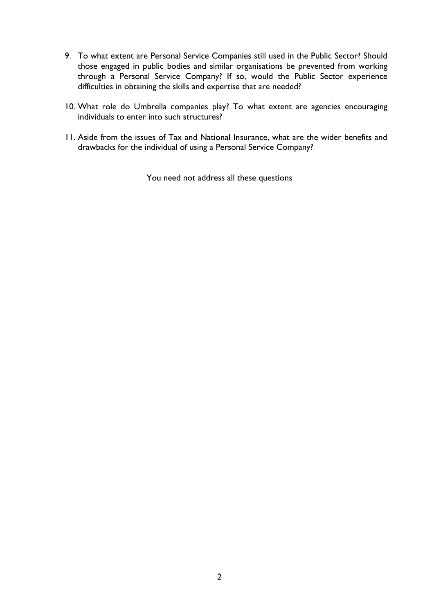- 9. To what extent are Personal Service Companies still used in the Public Sector? Should those engaged in public bodies and similar organisations be prevented from working through a Personal Service Company? If so, would the Public Sector experience difficulties in obtaining the skills and expertise that are needed?
- 10. What role do Umbrella companies play? To what extent are agencies encouraging individuals to enter into such structures?
- 11. Aside from the issues of Tax and National Insurance, what are the wider benefits and drawbacks for the individual of using a Personal Service Company?

You need not address all these questions